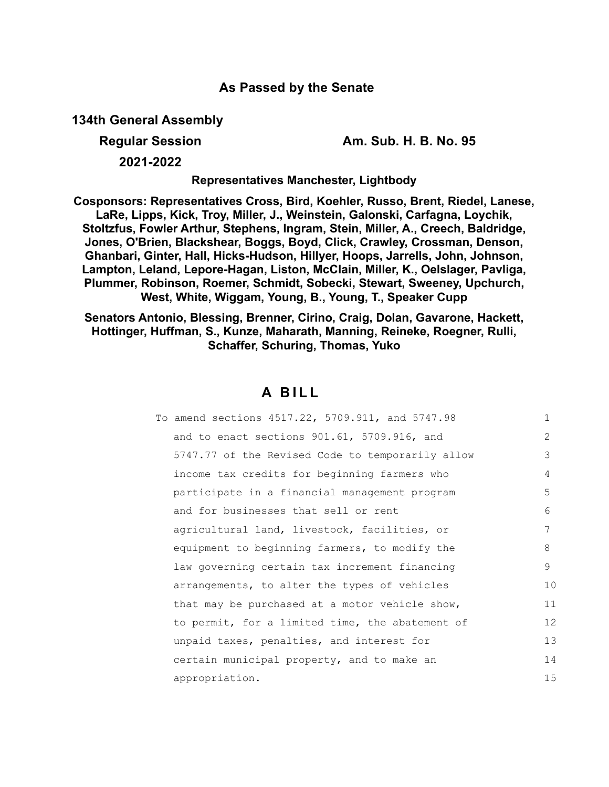# **As Passed by the Senate**

**134th General Assembly**

**Regular Session Am. Sub. H. B. No. 95**

**2021-2022**

**Representatives Manchester, Lightbody**

**Cosponsors: Representatives Cross, Bird, Koehler, Russo, Brent, Riedel, Lanese, LaRe, Lipps, Kick, Troy, Miller, J., Weinstein, Galonski, Carfagna, Loychik, Stoltzfus, Fowler Arthur, Stephens, Ingram, Stein, Miller, A., Creech, Baldridge, Jones, O'Brien, Blackshear, Boggs, Boyd, Click, Crawley, Crossman, Denson, Ghanbari, Ginter, Hall, Hicks-Hudson, Hillyer, Hoops, Jarrells, John, Johnson, Lampton, Leland, Lepore-Hagan, Liston, McClain, Miller, K., Oelslager, Pavliga, Plummer, Robinson, Roemer, Schmidt, Sobecki, Stewart, Sweeney, Upchurch, West, White, Wiggam, Young, B., Young, T., Speaker Cupp**

**Senators Antonio, Blessing, Brenner, Cirino, Craig, Dolan, Gavarone, Hackett, Hottinger, Huffman, S., Kunze, Maharath, Manning, Reineke, Roegner, Rulli, Schaffer, Schuring, Thomas, Yuko**

# **A B I L L**

| To amend sections 4517.22, 5709.911, and 5747.98 | $\mathbf{1}$   |
|--------------------------------------------------|----------------|
| and to enact sections 901.61, 5709.916, and      | $\overline{2}$ |
| 5747.77 of the Revised Code to temporarily allow | 3              |
| income tax credits for beginning farmers who     | 4              |
| participate in a financial management program    | 5              |
| and for businesses that sell or rent             | 6              |
| agricultural land, livestock, facilities, or     | 7              |
| equipment to beginning farmers, to modify the    | 8              |
| law governing certain tax increment financing    | 9              |
| arrangements, to alter the types of vehicles     | 10             |
| that may be purchased at a motor vehicle show,   | 11             |
| to permit, for a limited time, the abatement of  | 12             |
| unpaid taxes, penalties, and interest for        | 13             |
| certain municipal property, and to make an       | 14             |
| appropriation.                                   | 15             |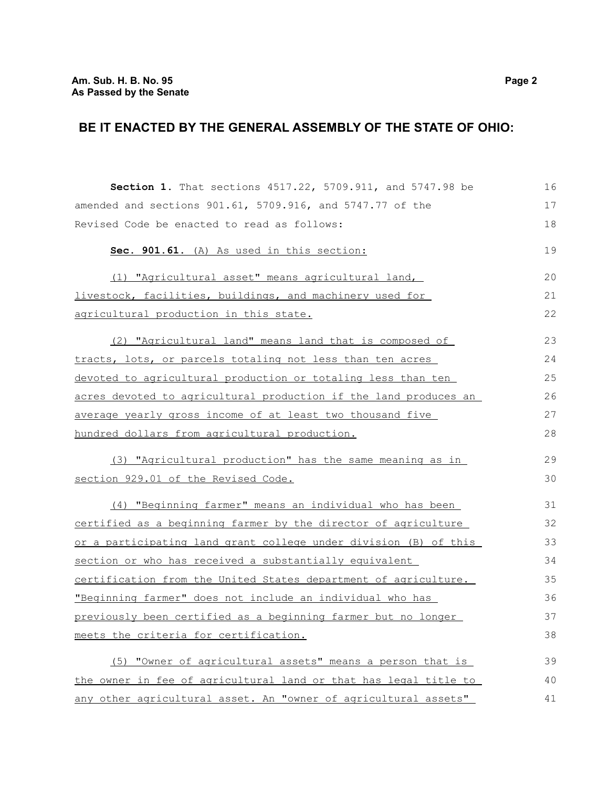# **BE IT ENACTED BY THE GENERAL ASSEMBLY OF THE STATE OF OHIO:**

| Section 1. That sections 4517.22, 5709.911, and 5747.98 be       | 16 |
|------------------------------------------------------------------|----|
| amended and sections 901.61, 5709.916, and 5747.77 of the        | 17 |
| Revised Code be enacted to read as follows:                      | 18 |
| Sec. 901.61. (A) As used in this section:                        | 19 |
| (1) "Agricultural asset" means agricultural land,                | 20 |
| livestock, facilities, buildings, and machinery used for         | 21 |
| agricultural production in this state.                           | 22 |
| (2) "Agricultural land" means land that is composed of           | 23 |
| tracts, lots, or parcels totaling not less than ten acres        | 24 |
| devoted to agricultural production or totaling less than ten     | 25 |
| acres devoted to agricultural production if the land produces an | 26 |
| average yearly gross income of at least two thousand five        | 27 |
| hundred dollars from agricultural production.                    | 28 |
| (3) "Agricultural production" has the same meaning as in         | 29 |
| section 929.01 of the Revised Code.                              | 30 |
|                                                                  |    |
| (4) "Beginning farmer" means an individual who has been          | 31 |
| certified as a beginning farmer by the director of agriculture   | 32 |
| or a participating land grant college under division (B) of this | 33 |
| section or who has received a substantially equivalent           | 34 |
| certification from the United States department of agriculture.  | 35 |
| "Beginning farmer" does not include an individual who has        | 36 |
| previously been certified as a beginning farmer but no longer    | 37 |
| meets the criteria for certification.                            | 38 |
| (5) "Owner of agricultural assets" means a person that is        | 39 |
| the owner in fee of agricultural land or that has legal title to | 40 |
| any other agricultural asset. An "owner of agricultural assets"  | 41 |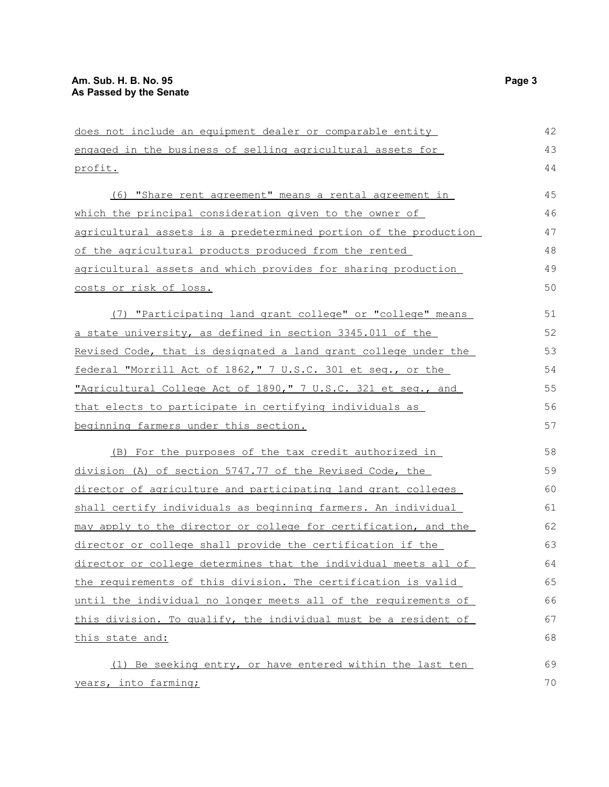| does not include an equipment dealer or comparable entity        | 42 |
|------------------------------------------------------------------|----|
| engaged in the business of selling agricultural assets for       | 43 |
| profit.                                                          | 44 |
| (6) "Share rent agreement" means a rental agreement in           | 45 |
| which the principal consideration given to the owner of          | 46 |
| agricultural assets is a predetermined portion of the production | 47 |
| of the agricultural products produced from the rented            | 48 |
| agricultural assets and which provides for sharing production    | 49 |
| costs or risk of loss.                                           | 50 |
| (7) "Participating land grant college" or "college" means        | 51 |
| a state university, as defined in section 3345.011 of the        | 52 |
| Revised Code, that is designated a land grant college under the  | 53 |
| federal "Morrill Act of 1862," 7 U.S.C. 301 et seq., or the      | 54 |
| "Agricultural College Act of 1890," 7 U.S.C. 321 et seq., and    | 55 |
| that elects to participate in certifying individuals as          | 56 |
| beginning farmers under this section.                            | 57 |
| (B) For the purposes of the tax credit authorized in             | 58 |
| division (A) of section 5747.77 of the Revised Code, the         | 59 |
| director of agriculture and participating land grant colleges    | 60 |
| shall certify individuals as beginning farmers. An individual    | 61 |
| may apply to the director or college for certification, and the  | 62 |
| director or college shall provide the certification if the       | 63 |
| director or college determines that the individual meets all of  | 64 |
| the requirements of this division. The certification is valid    | 65 |
| until the individual no longer meets all of the requirements of  | 66 |
| this division. To qualify, the individual must be a resident of  | 67 |
| this state and:                                                  | 68 |
| (1) Be seeking entry, or have entered within the last ten        | 69 |
| years, into farming;                                             | 70 |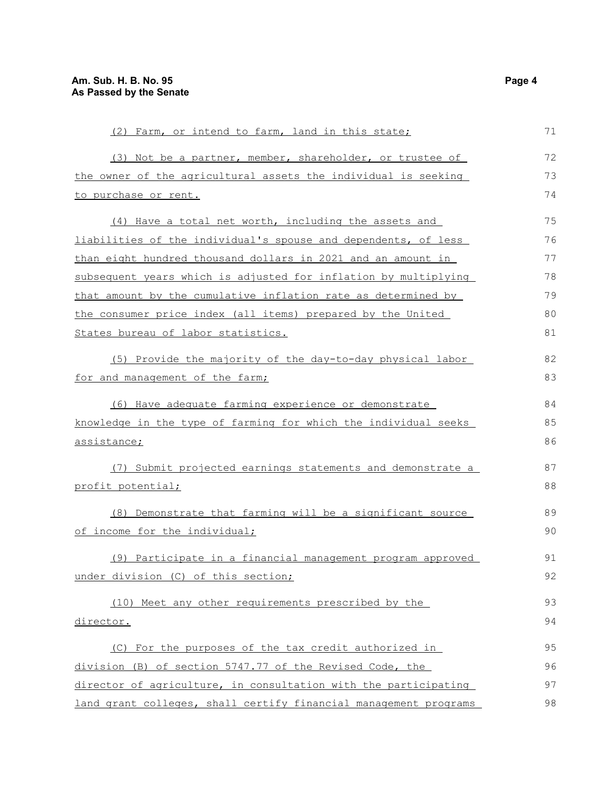| (2) Farm, or intend to farm, land in this state;                      | 71 |
|-----------------------------------------------------------------------|----|
| (3) Not be a partner, member, shareholder, or trustee of              | 72 |
| the owner of the agricultural assets the individual is seeking        | 73 |
| to purchase or rent.                                                  | 74 |
| (4) Have a total net worth, including the assets and                  | 75 |
| <u>liabilities of the individual's spouse and dependents, of less</u> | 76 |
| than eight hundred thousand dollars in 2021 and an amount in          | 77 |
| subsequent years which is adjusted for inflation by multiplying       | 78 |
| that amount by the cumulative inflation rate as determined by         | 79 |
| the consumer price index (all items) prepared by the United           | 80 |
| States bureau of labor statistics.                                    | 81 |
| (5) Provide the majority of the day-to-day physical labor             | 82 |
| for and management of the farm;                                       | 83 |
| (6) Have adequate farming experience or demonstrate                   | 84 |
| knowledge in the type of farming for which the individual seeks       | 85 |
| assistance;                                                           | 86 |
| (7) Submit projected earnings statements and demonstrate a            | 87 |
| profit potential;                                                     | 88 |
| (8) Demonstrate that farming will be a significant source             | 89 |
| of income for the individual;                                         | 90 |
| (9) Participate in a financial management program approved            | 91 |
| under division (C) of this section;                                   | 92 |
| (10) Meet any other requirements prescribed by the                    | 93 |
| director.                                                             | 94 |
| (C) For the purposes of the tax credit authorized in                  | 95 |
| division (B) of section 5747.77 of the Revised Code, the              | 96 |
| director of agriculture, in consultation with the participating       | 97 |
| land grant colleges, shall certify financial management programs      | 98 |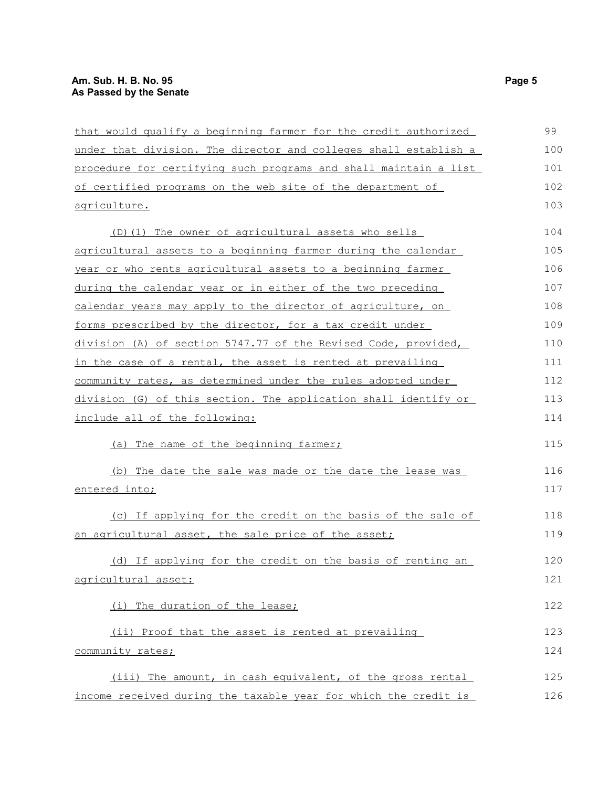| that would qualify a beginning farmer for the credit authorized  | 99  |
|------------------------------------------------------------------|-----|
| under that division. The director and colleges shall establish a | 100 |
| procedure for certifying such programs and shall maintain a list | 101 |
| of certified programs on the web site of the department of       | 102 |
| <u>agriculture.</u>                                              | 103 |
| (D) (1) The owner of agricultural assets who sells               | 104 |
| agricultural assets to a beginning farmer during the calendar    | 105 |
| year or who rents agricultural assets to a beginning farmer      | 106 |
| during the calendar year or in either of the two preceding       | 107 |
| calendar years may apply to the director of agriculture, on      | 108 |
| forms prescribed by the director, for a tax credit under         | 109 |
| division (A) of section 5747.77 of the Revised Code, provided,   | 110 |
| in the case of a rental, the asset is rented at prevailing       | 111 |
| community rates, as determined under the rules adopted under     | 112 |
| division (G) of this section. The application shall identify or  | 113 |
| include all of the following:                                    | 114 |
| (a) The name of the beginning farmer;                            | 115 |
| (b) The date the sale was made or the date the lease was         | 116 |
| entered into;                                                    | 117 |
| (c) If applying for the credit on the basis of the sale of       | 118 |
| an agricultural asset, the sale price of the asset;              | 119 |
| (d) If applying for the credit on the basis of renting an        | 120 |
| agricultural asset:                                              | 121 |
| (i) The duration of the lease;                                   | 122 |
| (ii) Proof that the asset is rented at prevailing                | 123 |
| community rates;                                                 | 124 |
| (iii) The amount, in cash equivalent, of the gross rental        | 125 |
| income received during the taxable year for which the credit is  | 126 |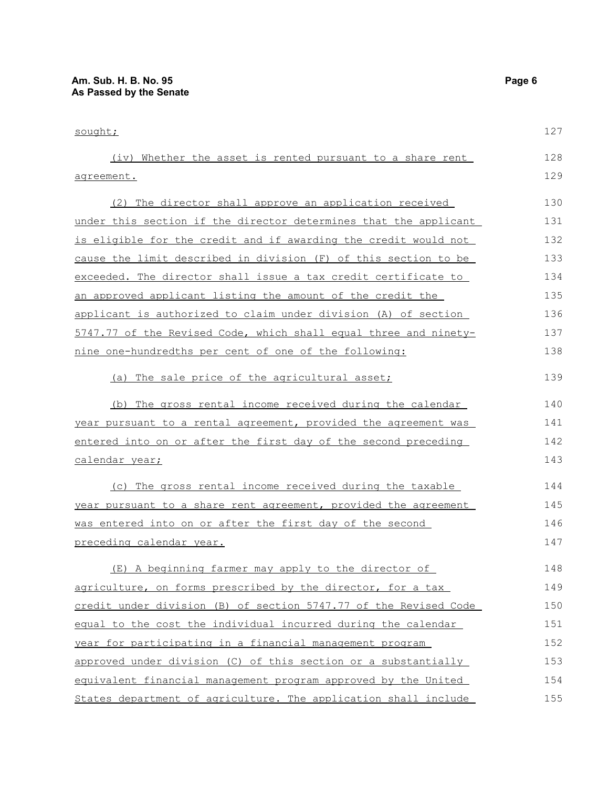sought; (iv) Whether the asset is rented pursuant to a share rent agreement. (2) The director shall approve an application received under this section if the director determines that the applicant is eligible for the credit and if awarding the credit would not cause the limit described in division (F) of this section to be exceeded. The director shall issue a tax credit certificate to an approved applicant listing the amount of the credit the applicant is authorized to claim under division (A) of section 5747.77 of the Revised Code, which shall equal three and ninetynine one-hundredths per cent of one of the following: (a) The sale price of the agricultural asset; (b) The gross rental income received during the calendar year pursuant to a rental agreement, provided the agreement was entered into on or after the first day of the second preceding calendar year; (c) The gross rental income received during the taxable year pursuant to a share rent agreement, provided the agreement was entered into on or after the first day of the second preceding calendar year. (E) A beginning farmer may apply to the director of agriculture, on forms prescribed by the director, for a tax credit under division (B) of section 5747.77 of the Revised Code equal to the cost the individual incurred during the calendar year for participating in a financial management program 127 128 129 130 131 132 133 134 135 136 137 138 139 140 141 142 143 144 145 146 147 148 149 150 151 152

approved under division (C) of this section or a substantially equivalent financial management program approved by the United States department of agriculture. The application shall include 153 154 155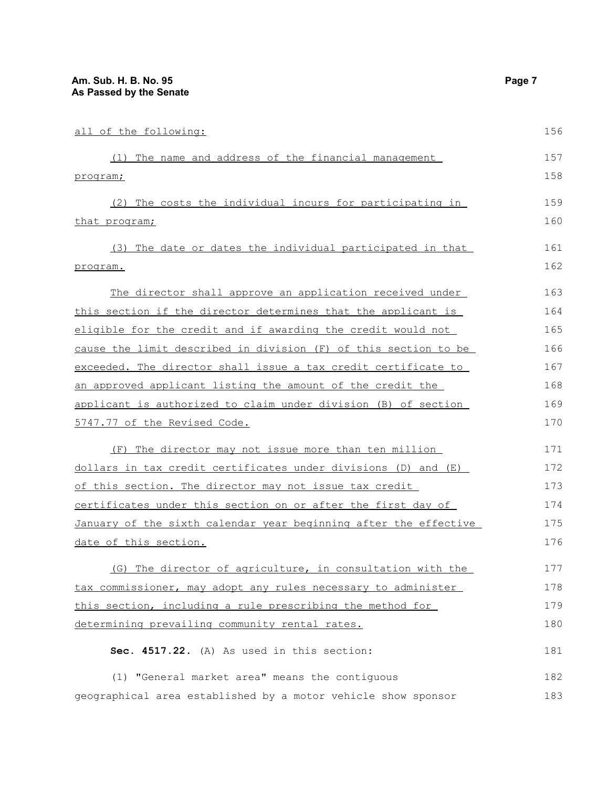| all of the following:                                            | 156 |
|------------------------------------------------------------------|-----|
| (1) The name and address of the financial management             | 157 |
| program;                                                         | 158 |
| (2) The costs the individual incurs for participating in         | 159 |
| that program;                                                    | 160 |
| (3) The date or dates the individual participated in that        | 161 |
| program.                                                         | 162 |
| The director shall approve an application received under         | 163 |
| this section if the director determines that the applicant is    | 164 |
| eligible for the credit and if awarding the credit would not     | 165 |
| cause the limit described in division (F) of this section to be  | 166 |
| exceeded. The director shall issue a tax credit certificate to   | 167 |
| an approved applicant listing the amount of the credit the       | 168 |
| applicant is authorized to claim under division (B) of section   | 169 |
| 5747.77 of the Revised Code.                                     | 170 |
| (F) The director may not issue more than ten million             | 171 |
| dollars in tax credit certificates under divisions (D) and (E)   | 172 |
| of this section. The director may not issue tax credit           | 173 |
| certificates under this section on or after the first day of     | 174 |
| January of the sixth calendar year beginning after the effective | 175 |
| date of this section.                                            | 176 |
| (G) The director of agriculture, in consultation with the        | 177 |
| tax commissioner, may adopt any rules necessary to administer    | 178 |
| this section, including a rule prescribing the method for        | 179 |
| determining prevailing community rental rates.                   | 180 |
| Sec. 4517.22. (A) As used in this section:                       | 181 |
| (1) "General market area" means the contiguous                   | 182 |

geographical area established by a motor vehicle show sponsor 183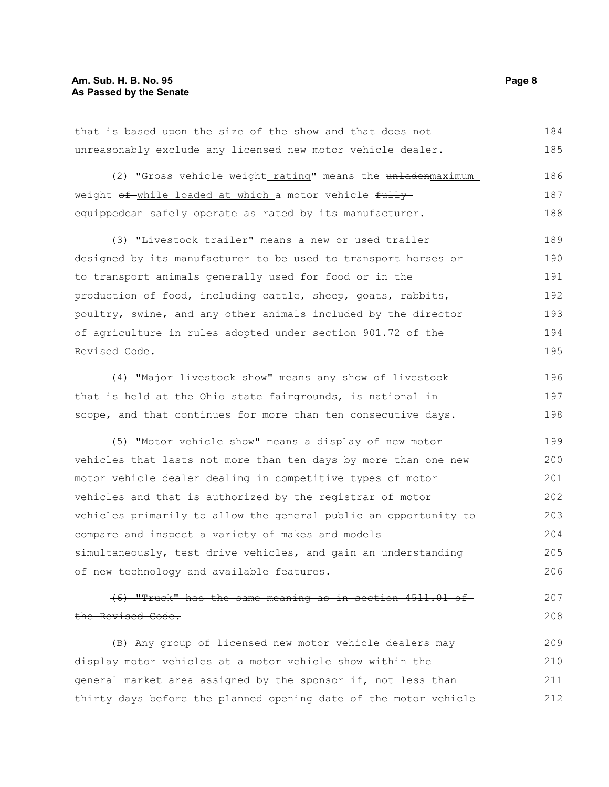that is based upon the size of the show and that does not unreasonably exclude any licensed new motor vehicle dealer. 184 185

(2) "Gross vehicle weight rating" means the unladenmaximum weight of while loaded at which a motor vehicle fully equippedcan safely operate as rated by its manufacturer. 186 187 188

(3) "Livestock trailer" means a new or used trailer designed by its manufacturer to be used to transport horses or to transport animals generally used for food or in the production of food, including cattle, sheep, goats, rabbits, poultry, swine, and any other animals included by the director of agriculture in rules adopted under section 901.72 of the Revised Code. 189 190 191 192 193 194 195

(4) "Major livestock show" means any show of livestock that is held at the Ohio state fairgrounds, is national in scope, and that continues for more than ten consecutive days. 196 197 198

(5) "Motor vehicle show" means a display of new motor vehicles that lasts not more than ten days by more than one new motor vehicle dealer dealing in competitive types of motor vehicles and that is authorized by the registrar of motor vehicles primarily to allow the general public an opportunity to compare and inspect a variety of makes and models simultaneously, test drive vehicles, and gain an understanding of new technology and available features. 199 200 201 202 203 204 205 206

(6) "Truck" has the same meaning as in section 4511.01 of the Revised Code. 207 208

(B) Any group of licensed new motor vehicle dealers may display motor vehicles at a motor vehicle show within the general market area assigned by the sponsor if, not less than thirty days before the planned opening date of the motor vehicle 209 210 211 212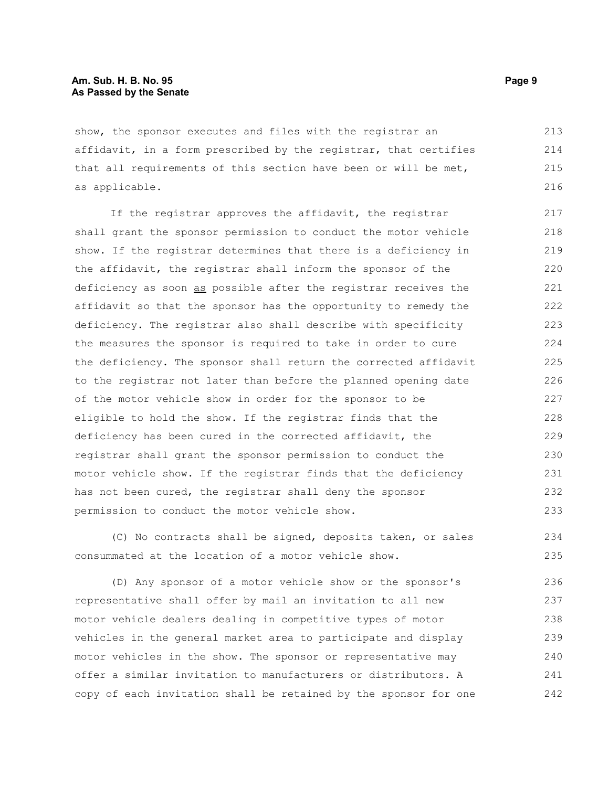## **Am. Sub. H. B. No. 95 Page 9 As Passed by the Senate**

show, the sponsor executes and files with the registrar an affidavit, in a form prescribed by the registrar, that certifies that all requirements of this section have been or will be met, as applicable. 213 214 215 216

If the registrar approves the affidavit, the registrar shall grant the sponsor permission to conduct the motor vehicle show. If the registrar determines that there is a deficiency in the affidavit, the registrar shall inform the sponsor of the deficiency as soon as possible after the registrar receives the affidavit so that the sponsor has the opportunity to remedy the deficiency. The registrar also shall describe with specificity the measures the sponsor is required to take in order to cure the deficiency. The sponsor shall return the corrected affidavit to the registrar not later than before the planned opening date of the motor vehicle show in order for the sponsor to be eligible to hold the show. If the registrar finds that the deficiency has been cured in the corrected affidavit, the registrar shall grant the sponsor permission to conduct the motor vehicle show. If the registrar finds that the deficiency has not been cured, the registrar shall deny the sponsor permission to conduct the motor vehicle show. 217 218 219 220 221 222 223 224 225 226 227 228 229 230 231 232 233

(C) No contracts shall be signed, deposits taken, or sales consummated at the location of a motor vehicle show. 234 235

(D) Any sponsor of a motor vehicle show or the sponsor's representative shall offer by mail an invitation to all new motor vehicle dealers dealing in competitive types of motor vehicles in the general market area to participate and display motor vehicles in the show. The sponsor or representative may offer a similar invitation to manufacturers or distributors. A copy of each invitation shall be retained by the sponsor for one 236 237 238 239 240 241 242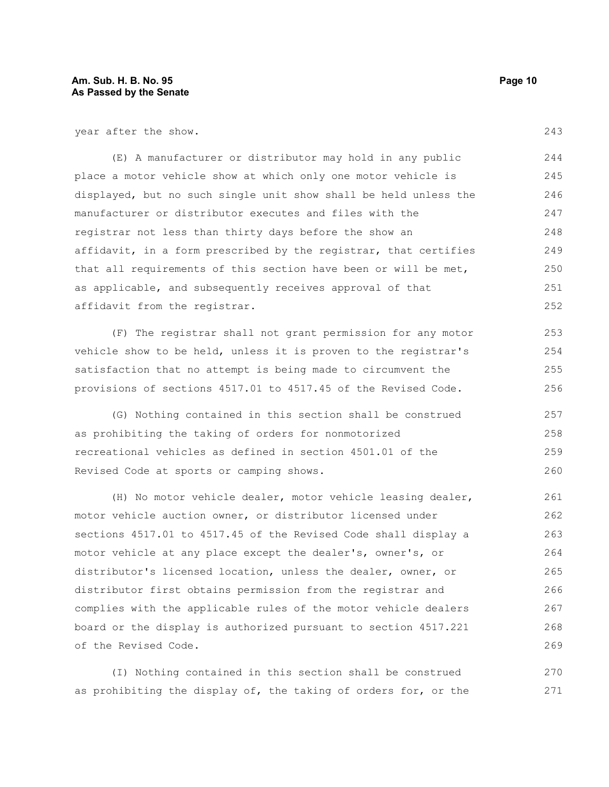year after the show.

(E) A manufacturer or distributor may hold in any public place a motor vehicle show at which only one motor vehicle is displayed, but no such single unit show shall be held unless the manufacturer or distributor executes and files with the registrar not less than thirty days before the show an affidavit, in a form prescribed by the registrar, that certifies that all requirements of this section have been or will be met, as applicable, and subsequently receives approval of that affidavit from the registrar. 244 245 246 247 248 249 250 251 252

(F) The registrar shall not grant permission for any motor vehicle show to be held, unless it is proven to the registrar's satisfaction that no attempt is being made to circumvent the provisions of sections 4517.01 to 4517.45 of the Revised Code.

(G) Nothing contained in this section shall be construed as prohibiting the taking of orders for nonmotorized recreational vehicles as defined in section 4501.01 of the Revised Code at sports or camping shows. 257 258 259 260

(H) No motor vehicle dealer, motor vehicle leasing dealer, motor vehicle auction owner, or distributor licensed under sections 4517.01 to 4517.45 of the Revised Code shall display a motor vehicle at any place except the dealer's, owner's, or distributor's licensed location, unless the dealer, owner, or distributor first obtains permission from the registrar and complies with the applicable rules of the motor vehicle dealers board or the display is authorized pursuant to section 4517.221 of the Revised Code. 261 262 263 264 265 266 267 268 269

(I) Nothing contained in this section shall be construed as prohibiting the display of, the taking of orders for, or the 270 271

243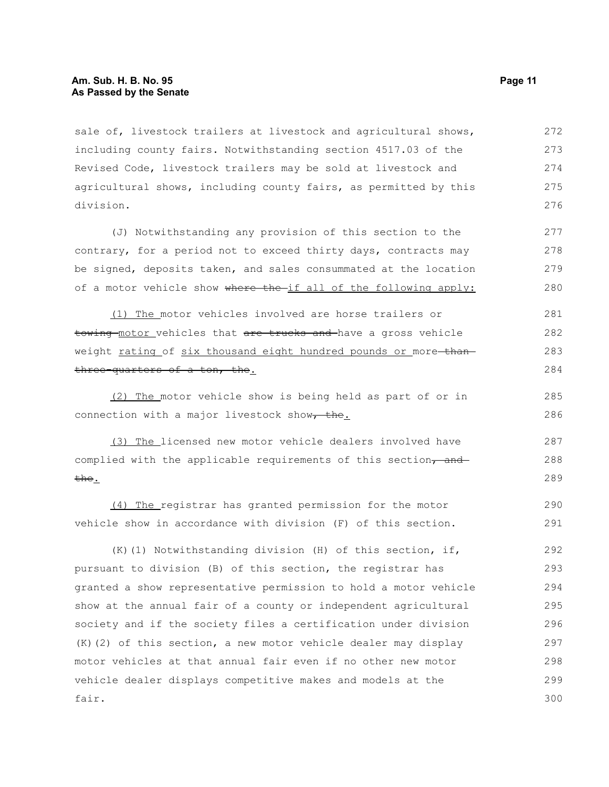#### **Am. Sub. H. B. No. 95 Page 11 As Passed by the Senate**

sale of, livestock trailers at livestock and agricultural shows, including county fairs. Notwithstanding section 4517.03 of the Revised Code, livestock trailers may be sold at livestock and agricultural shows, including county fairs, as permitted by this division. 272 273 274 275 276

(J) Notwithstanding any provision of this section to the contrary, for a period not to exceed thirty days, contracts may be signed, deposits taken, and sales consummated at the location of a motor vehicle show where the if all of the following apply: 277 278 279 280

(1) The motor vehicles involved are horse trailers or towing motor vehicles that are trucks and have a gross vehicle weight rating of six thousand eight hundred pounds or more-thanthree-quarters of a ton, the. 281 282 283 284

(2) The motor vehicle show is being held as part of or in connection with a major livestock show $\tau$  the.

(3) The licensed new motor vehicle dealers involved have complied with the applicable requirements of this section, and the. 287 288 289

(4) The registrar has granted permission for the motor vehicle show in accordance with division (F) of this section. 290 291

(K)(1) Notwithstanding division (H) of this section, if, pursuant to division (B) of this section, the registrar has granted a show representative permission to hold a motor vehicle show at the annual fair of a county or independent agricultural society and if the society files a certification under division (K)(2) of this section, a new motor vehicle dealer may display motor vehicles at that annual fair even if no other new motor vehicle dealer displays competitive makes and models at the fair. 292 293 294 295 296 297 298 299 300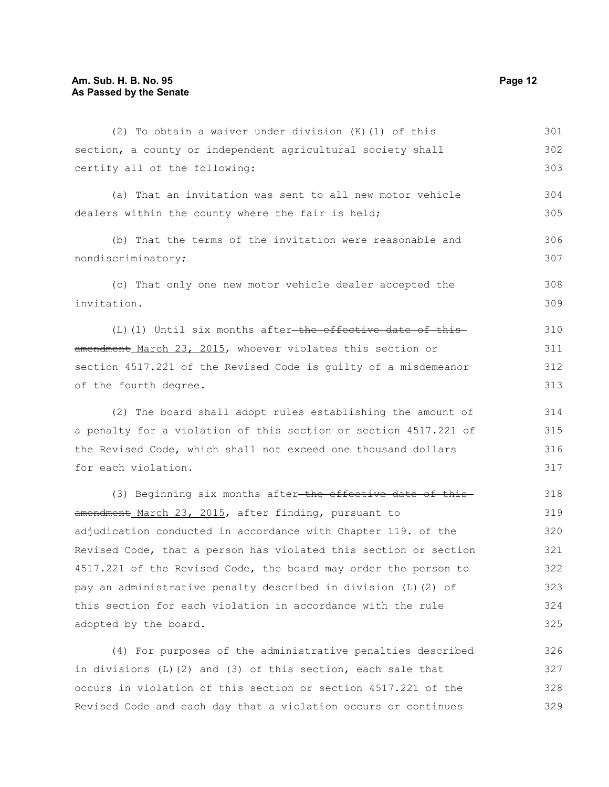| (2) To obtain a waiver under division $(K)$ (1) of this                 | 301 |
|-------------------------------------------------------------------------|-----|
| section, a county or independent agricultural society shall             | 302 |
| certify all of the following:                                           | 303 |
| (a) That an invitation was sent to all new motor vehicle                | 304 |
| dealers within the county where the fair is held;                       | 305 |
| (b) That the terms of the invitation were reasonable and                | 306 |
| nondiscriminatory;                                                      | 307 |
| (c) That only one new motor vehicle dealer accepted the                 | 308 |
| invitation.                                                             | 309 |
| $(L)$ (1) Until six months after <del>-the effective date of this</del> | 310 |
| amendment March 23, 2015, whoever violates this section or              | 311 |
| section 4517.221 of the Revised Code is guilty of a misdemeanor         | 312 |
| of the fourth degree.                                                   | 313 |
| (2) The board shall adopt rules establishing the amount of              | 314 |
| a penalty for a violation of this section or section 4517.221 of        | 315 |
| the Revised Code, which shall not exceed one thousand dollars           | 316 |
| for each violation.                                                     | 317 |
| (3) Beginning six months after-the effective date of this-              | 318 |
| amendment March 23, 2015, after finding, pursuant to                    | 319 |
| adjudication conducted in accordance with Chapter 119. of the           | 320 |
| Revised Code, that a person has violated this section or section        | 321 |
| 4517.221 of the Revised Code, the board may order the person to         | 322 |
| pay an administrative penalty described in division (L) (2) of          | 323 |
| this section for each violation in accordance with the rule             | 324 |
| adopted by the board.                                                   | 325 |

(4) For purposes of the administrative penalties described in divisions (L)(2) and (3) of this section, each sale that occurs in violation of this section or section 4517.221 of the Revised Code and each day that a violation occurs or continues 326 327 328 329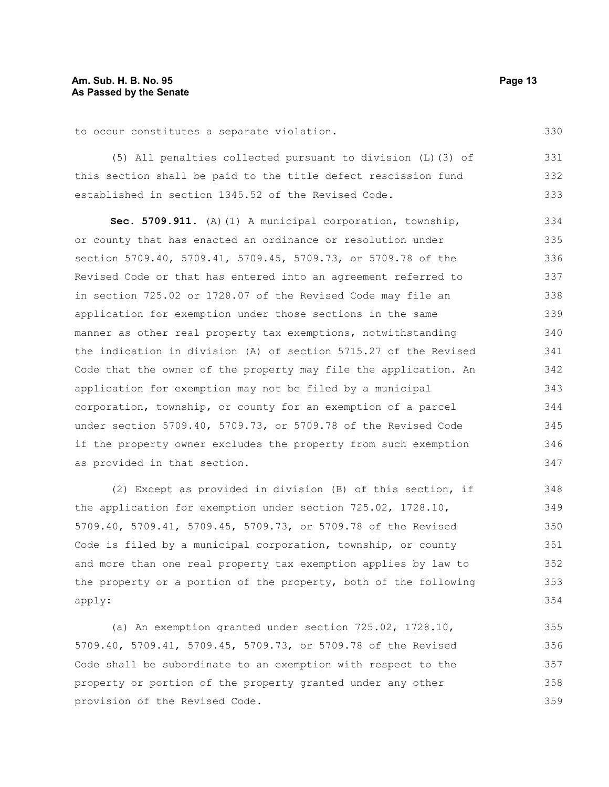to occur constitutes a separate violation.

(5) All penalties collected pursuant to division (L)(3) of this section shall be paid to the title defect rescission fund established in section 1345.52 of the Revised Code. 331 332 333

**Sec. 5709.911.** (A)(1) A municipal corporation, township, or county that has enacted an ordinance or resolution under section 5709.40, 5709.41, 5709.45, 5709.73, or 5709.78 of the Revised Code or that has entered into an agreement referred to in section 725.02 or 1728.07 of the Revised Code may file an application for exemption under those sections in the same manner as other real property tax exemptions, notwithstanding the indication in division (A) of section 5715.27 of the Revised Code that the owner of the property may file the application. An application for exemption may not be filed by a municipal corporation, township, or county for an exemption of a parcel under section 5709.40, 5709.73, or 5709.78 of the Revised Code if the property owner excludes the property from such exemption as provided in that section. 334 335 336 337 338 339 340 341 342 343 344 345 346 347

(2) Except as provided in division (B) of this section, if the application for exemption under section 725.02, 1728.10, 5709.40, 5709.41, 5709.45, 5709.73, or 5709.78 of the Revised Code is filed by a municipal corporation, township, or county and more than one real property tax exemption applies by law to the property or a portion of the property, both of the following apply:

(a) An exemption granted under section 725.02, 1728.10, 5709.40, 5709.41, 5709.45, 5709.73, or 5709.78 of the Revised Code shall be subordinate to an exemption with respect to the property or portion of the property granted under any other provision of the Revised Code. 355 356 357 358 359

330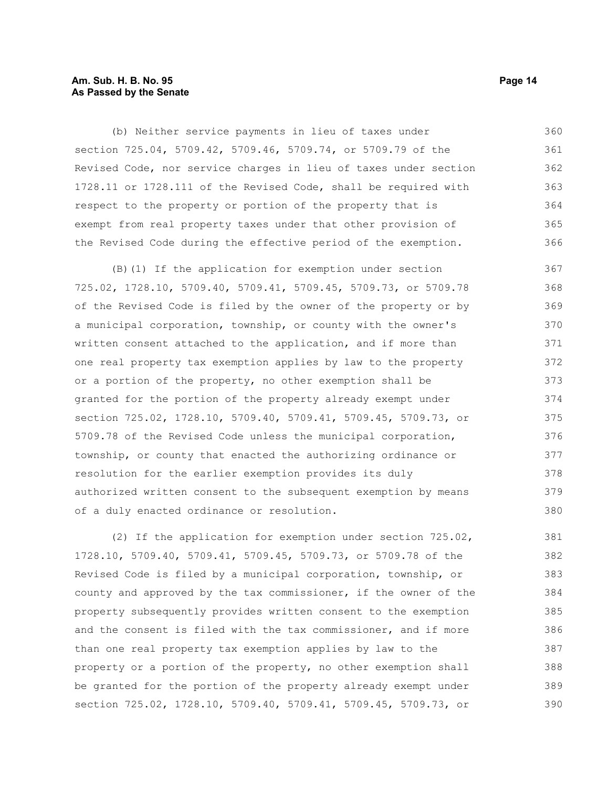## **Am. Sub. H. B. No. 95 Page 14 As Passed by the Senate**

(b) Neither service payments in lieu of taxes under section 725.04, 5709.42, 5709.46, 5709.74, or 5709.79 of the Revised Code, nor service charges in lieu of taxes under section 1728.11 or 1728.111 of the Revised Code, shall be required with respect to the property or portion of the property that is exempt from real property taxes under that other provision of the Revised Code during the effective period of the exemption. 360 361 362 363 364 365 366

(B)(1) If the application for exemption under section 725.02, 1728.10, 5709.40, 5709.41, 5709.45, 5709.73, or 5709.78 of the Revised Code is filed by the owner of the property or by a municipal corporation, township, or county with the owner's written consent attached to the application, and if more than one real property tax exemption applies by law to the property or a portion of the property, no other exemption shall be granted for the portion of the property already exempt under section 725.02, 1728.10, 5709.40, 5709.41, 5709.45, 5709.73, or 5709.78 of the Revised Code unless the municipal corporation, township, or county that enacted the authorizing ordinance or resolution for the earlier exemption provides its duly authorized written consent to the subsequent exemption by means of a duly enacted ordinance or resolution. 367 368 369 370 371 372 373 374 375 376 377 378 379 380

(2) If the application for exemption under section 725.02, 1728.10, 5709.40, 5709.41, 5709.45, 5709.73, or 5709.78 of the Revised Code is filed by a municipal corporation, township, or county and approved by the tax commissioner, if the owner of the property subsequently provides written consent to the exemption and the consent is filed with the tax commissioner, and if more than one real property tax exemption applies by law to the property or a portion of the property, no other exemption shall be granted for the portion of the property already exempt under section 725.02, 1728.10, 5709.40, 5709.41, 5709.45, 5709.73, or 381 382 383 384 385 386 387 388 389 390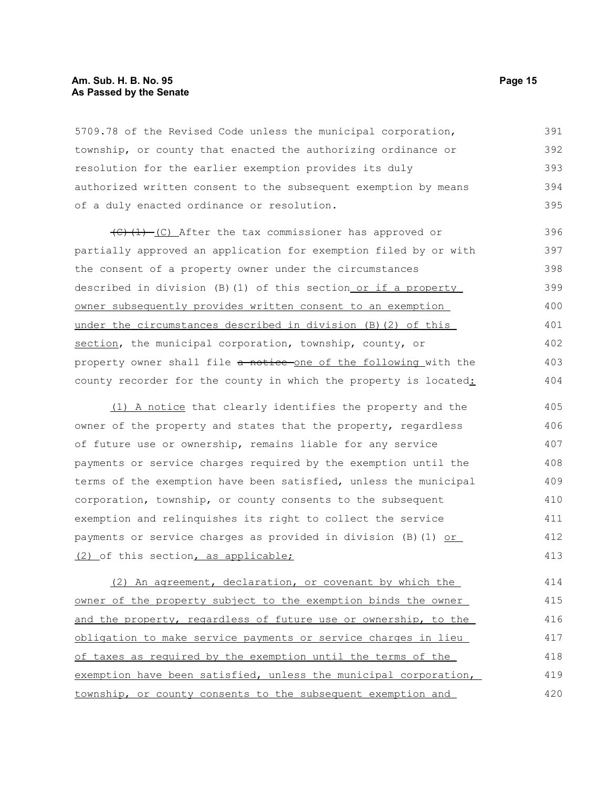## **Am. Sub. H. B. No. 95 Page 15 As Passed by the Senate**

5709.78 of the Revised Code unless the municipal corporation, township, or county that enacted the authorizing ordinance or resolution for the earlier exemption provides its duly authorized written consent to the subsequent exemption by means of a duly enacted ordinance or resolution. 391 392 393 394 395

 $(C)$  (1) (C) After the tax commissioner has approved or partially approved an application for exemption filed by or with the consent of a property owner under the circumstances described in division (B)(1) of this section or if a property owner subsequently provides written consent to an exemption under the circumstances described in division (B)(2) of this section, the municipal corporation, township, county, or property owner shall file a notice one of the following with the county recorder for the county in which the property is located: 396 397 398 399 400 401 402 403 404

(1) A notice that clearly identifies the property and the owner of the property and states that the property, regardless of future use or ownership, remains liable for any service payments or service charges required by the exemption until the terms of the exemption have been satisfied, unless the municipal corporation, township, or county consents to the subsequent exemption and relinquishes its right to collect the service payments or service charges as provided in division (B)(1) or (2) of this section, as applicable; 405 406 407 408 409 410 411 412 413

(2) An agreement, declaration, or covenant by which the owner of the property subject to the exemption binds the owner and the property, regardless of future use or ownership, to the obligation to make service payments or service charges in lieu of taxes as required by the exemption until the terms of the exemption have been satisfied, unless the municipal corporation, township, or county consents to the subsequent exemption and 414 415 416 417 418 419 420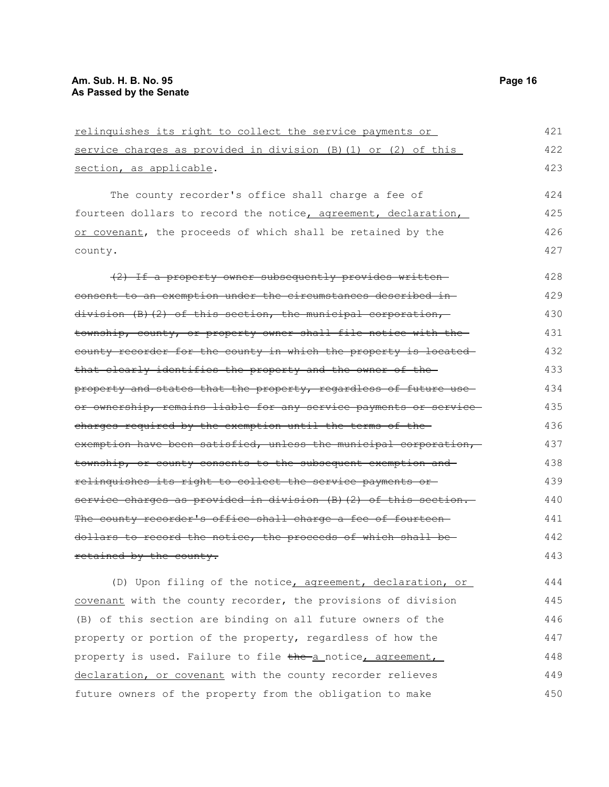| relinquishes its right to collect the service payments or        | 421 |
|------------------------------------------------------------------|-----|
| service charges as provided in division (B) (1) or (2) of this   | 422 |
| section, as applicable.                                          | 423 |
| The county recorder's office shall charge a fee of               | 424 |
| fourteen dollars to record the notice, agreement, declaration,   | 425 |
| or covenant, the proceeds of which shall be retained by the      | 426 |
| county.                                                          | 427 |
| (2) If a property owner subsequently provides written-           | 428 |
| consent to an exemption under the circumstances described in-    | 429 |
| division (B)(2) of this section, the municipal corporation,      | 430 |
| township, county, or property owner shall file notice with the-  | 431 |
| county recorder for the county in which the property is located  | 432 |
| that clearly identifies the property and the owner of the-       | 433 |
| property and states that the property, regardless of future use  | 434 |
| or ownership, remains liable for any service payments or service | 435 |
| charges required by the exemption until the terms of the-        | 436 |
| exemption have been satisfied, unless the municipal corporation, | 437 |
| township, or county consents to the subsequent exemption and     | 438 |
| relinquishes its right to collect the service payments or-       | 439 |
| service charges as provided in division (B) (2) of this section. | 440 |
| The county recorder's office shall charge a fee of fourteen      | 441 |
| dollars to record the notice, the proceeds of which shall be-    | 442 |
| retained by the county.                                          | 443 |
| (D) Upon filing of the notice, agreement, declaration, or        | 444 |
| covenant with the county recorder, the provisions of division    | 445 |
| (B) of this section are binding on all future owners of the      | 446 |
| property or portion of the property, regardless of how the       | 447 |
|                                                                  |     |

property is used. Failure to file the a notice, agreement, declaration, or covenant with the county recorder relieves future owners of the property from the obligation to make 448 449 450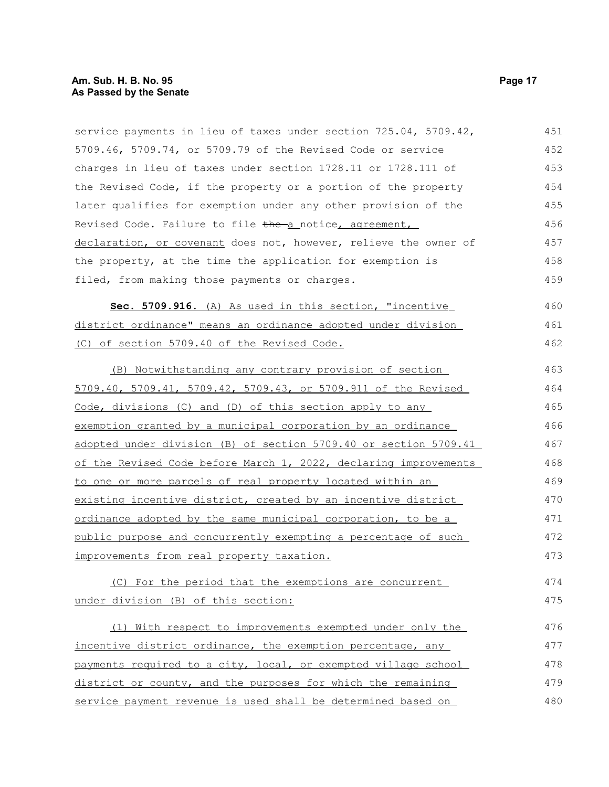## **Am. Sub. H. B. No. 95 Page 17 As Passed by the Senate**

service payments in lieu of taxes under section 725.04, 5709.42, 5709.46, 5709.74, or 5709.79 of the Revised Code or service charges in lieu of taxes under section 1728.11 or 1728.111 of the Revised Code, if the property or a portion of the property later qualifies for exemption under any other provision of the Revised Code. Failure to file the a notice, agreement, declaration, or covenant does not, however, relieve the owner of the property, at the time the application for exemption is filed, from making those payments or charges. 451 452 453 454 455 456 457 458 459

Sec. 5709.916. (A) As used in this section, "incentive district ordinance" means an ordinance adopted under division (C) of section 5709.40 of the Revised Code. 460 461 462

(B) Notwithstanding any contrary provision of section 5709.40, 5709.41, 5709.42, 5709.43, or 5709.911 of the Revised Code, divisions (C) and (D) of this section apply to any exemption granted by a municipal corporation by an ordinance adopted under division (B) of section 5709.40 or section 5709.41 of the Revised Code before March 1, 2022, declaring improvements to one or more parcels of real property located within an existing incentive district, created by an incentive district ordinance adopted by the same municipal corporation, to be a public purpose and concurrently exempting a percentage of such improvements from real property taxation. 463 464 465 466 467 468 469 470 471 472 473

(C) For the period that the exemptions are concurrent under division (B) of this section: 474 475

(1) With respect to improvements exempted under only the incentive district ordinance, the exemption percentage, any payments required to a city, local, or exempted village school district or county, and the purposes for which the remaining service payment revenue is used shall be determined based on 476 477 478 479 480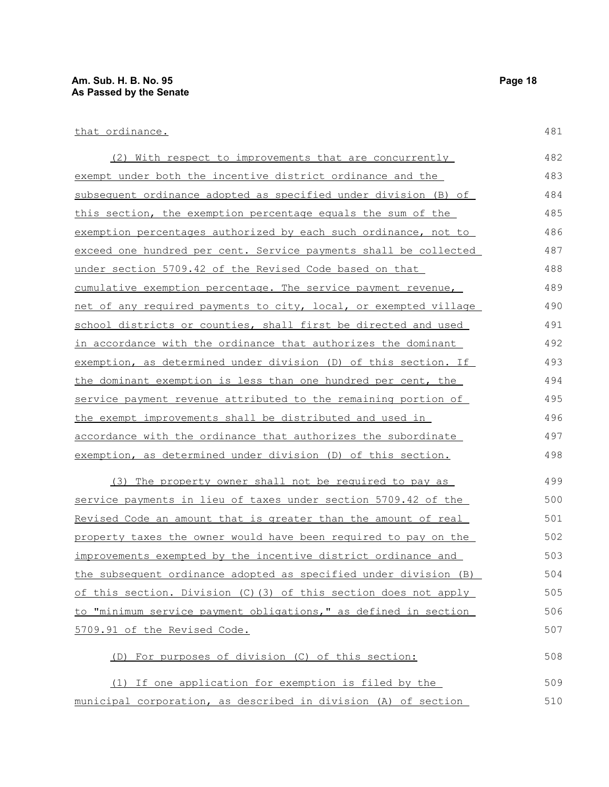| (2) With respect to improvements that are concurrently           | 482 |
|------------------------------------------------------------------|-----|
| exempt under both the incentive district ordinance and the       | 483 |
| subsequent ordinance adopted as specified under division (B) of  | 484 |
| this section, the exemption percentage equals the sum of the     | 485 |
| exemption percentages authorized by each such ordinance, not to  | 486 |
| exceed one hundred per cent. Service payments shall be collected | 487 |
| under section 5709.42 of the Revised Code based on that          | 488 |
| cumulative exemption percentage. The service payment revenue,    | 489 |
| net of any required payments to city, local, or exempted village | 490 |
| school districts or counties, shall first be directed and used   | 491 |
| in accordance with the ordinance that authorizes the dominant    | 492 |
| exemption, as determined under division (D) of this section. If  | 493 |
| the dominant exemption is less than one hundred per cent, the    | 494 |
| service payment revenue attributed to the remaining portion of   | 495 |
| the exempt improvements shall be distributed and used in         | 496 |
| accordance with the ordinance that authorizes the subordinate    | 497 |
| exemption, as determined under division (D) of this section.     | 498 |
| (3) The property owner shall not be required to pay as           | 499 |

service payments in lieu of taxes under section 5709.42 of the Revised Code an amount that is greater than the amount of real property taxes the owner would have been required to pay on the improvements exempted by the incentive district ordinance and the subsequent ordinance adopted as specified under division (B) of this section. Division (C)(3) of this section does not apply to "minimum service payment obligations," as defined in section 5709.91 of the Revised Code. 500 501 502 503 504 505 506 507

(D) For purposes of division (C) of this section: (1) If one application for exemption is filed by the 508 509

municipal corporation, as described in division (A) of section 510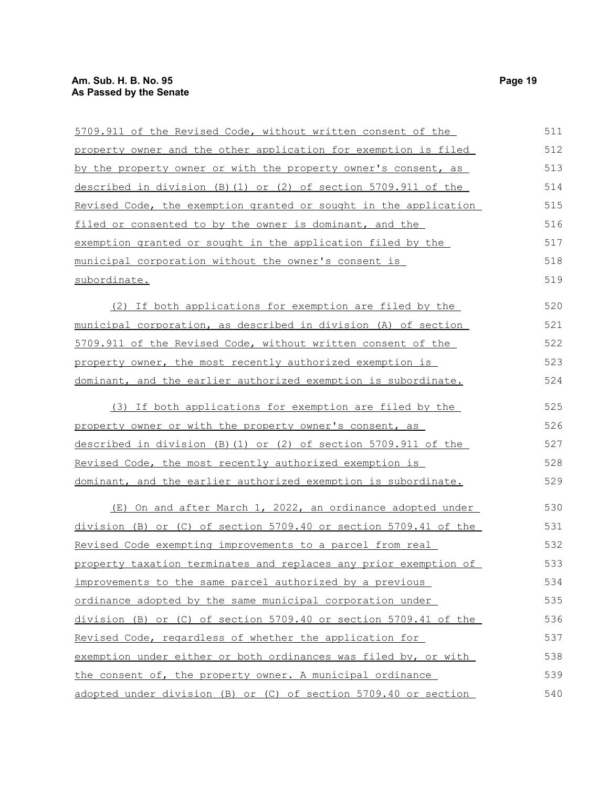| 5709.911 of the Revised Code, without written consent of the     | 511 |
|------------------------------------------------------------------|-----|
| property owner and the other application for exemption is filed  | 512 |
| by the property owner or with the property owner's consent, as   | 513 |
| described in division (B) (1) or (2) of section 5709.911 of the  | 514 |
| Revised Code, the exemption granted or sought in the application | 515 |
| filed or consented to by the owner is dominant, and the          | 516 |
| exemption granted or sought in the application filed by the      | 517 |
| municipal corporation without the owner's consent is             | 518 |
| subordinate.                                                     | 519 |
| (2) If both applications for exemption are filed by the          | 520 |
| municipal corporation, as described in division (A) of section   | 521 |
| 5709.911 of the Revised Code, without written consent of the     | 522 |
| property owner, the most recently authorized exemption is        | 523 |
| dominant, and the earlier authorized exemption is subordinate.   | 524 |
| (3) If both applications for exemption are filed by the          | 525 |
| property owner or with the property owner's consent, as          | 526 |
| described in division (B)(1) or (2) of section 5709.911 of the   | 527 |
| Revised Code, the most recently authorized exemption is          | 528 |
| dominant, and the earlier authorized exemption is subordinate.   | 529 |
| (E) On and after March 1, 2022, an ordinance adopted under       | 530 |
| division (B) or (C) of section 5709.40 or section 5709.41 of the | 531 |
| Revised Code exempting improvements to a parcel from real        | 532 |
| property taxation terminates and replaces any prior exemption of | 533 |
| improvements to the same parcel authorized by a previous         | 534 |
| ordinance adopted by the same municipal corporation under        | 535 |
| division (B) or (C) of section 5709.40 or section 5709.41 of the | 536 |
| Revised Code, regardless of whether the application for          | 537 |
| exemption under either or both ordinances was filed by, or with  | 538 |
| the consent of, the property owner. A municipal ordinance        | 539 |
| adopted under division (B) or (C) of section 5709.40 or section  | 540 |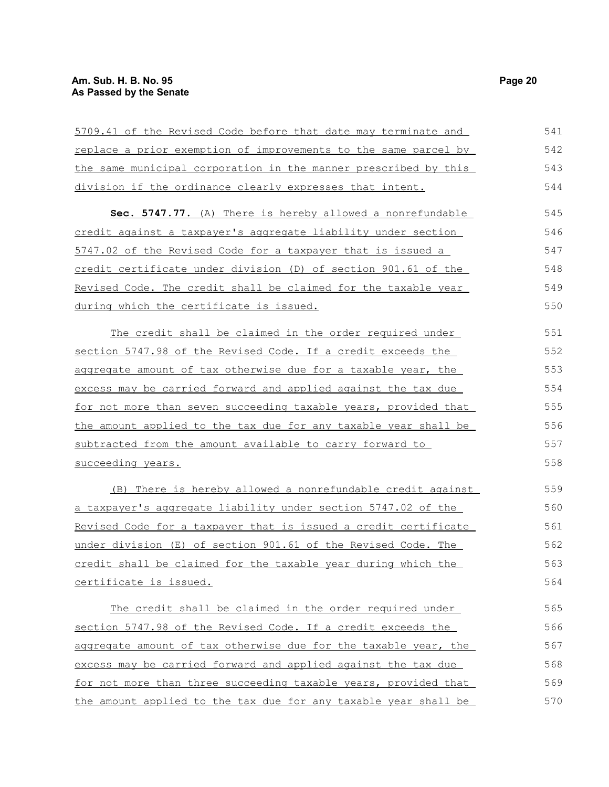| 5709.41 of the Revised Code before that date may terminate and  | 541 |
|-----------------------------------------------------------------|-----|
| replace a prior exemption of improvements to the same parcel by | 542 |
| the same municipal corporation in the manner prescribed by this | 543 |
| division if the ordinance clearly expresses that intent.        | 544 |
| Sec. 5747.77. (A) There is hereby allowed a nonrefundable       | 545 |
| credit against a taxpayer's aggregate liability under section   | 546 |
| 5747.02 of the Revised Code for a taxpayer that is issued a     | 547 |
| credit certificate under division (D) of section 901.61 of the  | 548 |
| Revised Code. The credit shall be claimed for the taxable year  | 549 |
| during which the certificate is issued.                         | 550 |
| The credit shall be claimed in the order required under         | 551 |
| section 5747.98 of the Revised Code. If a credit exceeds the    | 552 |
| aggregate amount of tax otherwise due for a taxable year, the   | 553 |
| excess may be carried forward and applied against the tax due   | 554 |
| for not more than seven succeeding taxable years, provided that | 555 |
| the amount applied to the tax due for any taxable year shall be | 556 |
| subtracted from the amount available to carry forward to        | 557 |
| succeeding years.                                               | 558 |
| (B) There is hereby allowed a nonrefundable credit against      | 559 |
| a taxpayer's aggregate liability under section 5747.02 of the   | 560 |
| Revised Code for a taxpayer that is issued a credit certificate | 561 |
| under division (E) of section 901.61 of the Revised Code. The   | 562 |
| credit shall be claimed for the taxable year during which the   | 563 |
| certificate is issued.                                          | 564 |
| The credit shall be claimed in the order required under         | 565 |
| section 5747.98 of the Revised Code. If a credit exceeds the    | 566 |
| aggregate amount of tax otherwise due for the taxable year, the | 567 |
| excess may be carried forward and applied against the tax due   | 568 |
| for not more than three succeeding taxable years, provided that | 569 |
| the amount applied to the tax due for any taxable year shall be | 570 |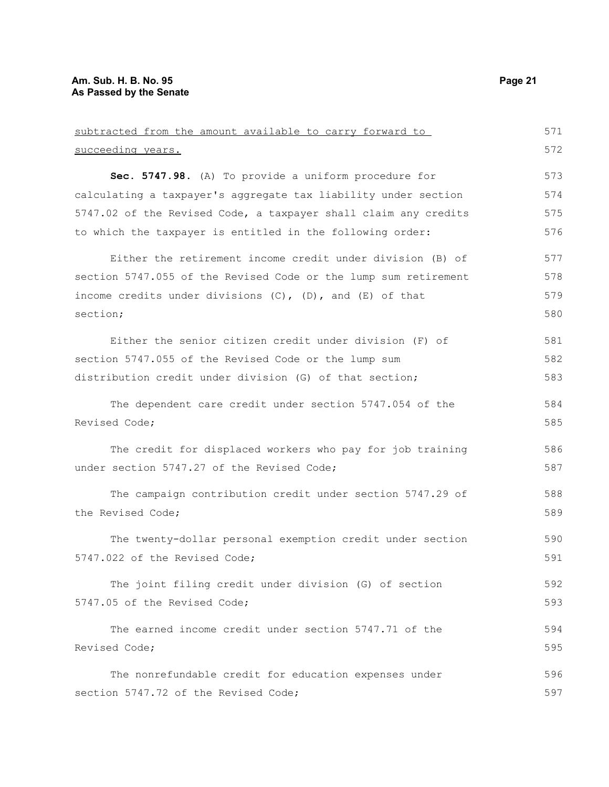| subtracted from the amount available to carry forward to         | 571 |
|------------------------------------------------------------------|-----|
| succeeding years.                                                | 572 |
| Sec. 5747.98. (A) To provide a uniform procedure for             | 573 |
| calculating a taxpayer's aggregate tax liability under section   | 574 |
| 5747.02 of the Revised Code, a taxpayer shall claim any credits  | 575 |
| to which the taxpayer is entitled in the following order:        | 576 |
| Either the retirement income credit under division (B) of        | 577 |
| section 5747.055 of the Revised Code or the lump sum retirement  | 578 |
| income credits under divisions $(C)$ , $(D)$ , and $(E)$ of that | 579 |
| section;                                                         | 580 |
| Either the senior citizen credit under division (F) of           | 581 |
| section 5747.055 of the Revised Code or the lump sum             | 582 |
| distribution credit under division (G) of that section;          | 583 |
| The dependent care credit under section 5747.054 of the          | 584 |
| Revised Code;                                                    | 585 |
| The credit for displaced workers who pay for job training        | 586 |
| under section 5747.27 of the Revised Code;                       | 587 |
| The campaign contribution credit under section 5747.29 of        | 588 |
| the Revised Code;                                                | 589 |
| The twenty-dollar personal exemption credit under section        | 590 |
| 5747.022 of the Revised Code;                                    | 591 |
| The joint filing credit under division (G) of section            | 592 |
| 5747.05 of the Revised Code;                                     | 593 |
| The earned income credit under section 5747.71 of the            | 594 |
| Revised Code;                                                    | 595 |
| The nonrefundable credit for education expenses under            | 596 |
| section 5747.72 of the Revised Code;                             | 597 |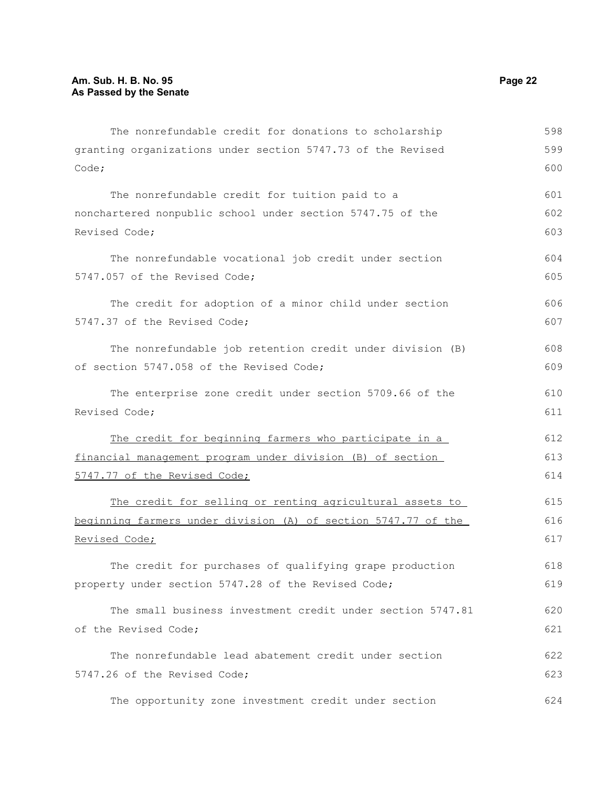| The nonrefundable credit for donations to scholarship                  | 598 |
|------------------------------------------------------------------------|-----|
| granting organizations under section 5747.73 of the Revised            | 599 |
| Code;                                                                  | 600 |
| The nonrefundable credit for tuition paid to a                         | 601 |
| nonchartered nonpublic school under section 5747.75 of the             | 602 |
| Revised Code;                                                          | 603 |
| The nonrefundable vocational job credit under section                  | 604 |
| 5747.057 of the Revised Code;                                          | 605 |
| The credit for adoption of a minor child under section                 | 606 |
| 5747.37 of the Revised Code;                                           | 607 |
| The nonrefundable job retention credit under division (B)              | 608 |
| of section 5747.058 of the Revised Code;                               | 609 |
| The enterprise zone credit under section 5709.66 of the                | 610 |
| Revised Code;                                                          | 611 |
| The credit for beginning farmers who participate in a                  | 612 |
| financial management program under division (B) of section             | 613 |
| 5747.77 of the Revised Code;                                           | 614 |
| The credit for selling or renting agricultural assets to               | 615 |
| <u>beginning farmers under division (A) of section 5747.77 of the </u> | 616 |
| Revised Code;                                                          | 617 |
| The credit for purchases of qualifying grape production                | 618 |
| property under section 5747.28 of the Revised Code;                    | 619 |
| The small business investment credit under section 5747.81             | 620 |
| of the Revised Code;                                                   | 621 |
| The nonrefundable lead abatement credit under section                  | 622 |
| 5747.26 of the Revised Code;                                           | 623 |
| The opportunity zone investment credit under section                   | 624 |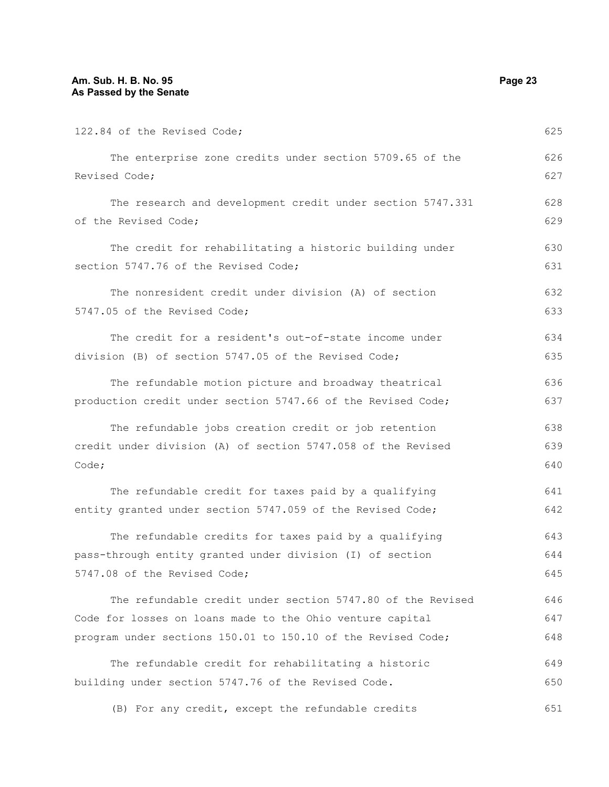| 122.84 of the Revised Code;                                  | 625 |
|--------------------------------------------------------------|-----|
| The enterprise zone credits under section 5709.65 of the     | 626 |
| Revised Code;                                                | 627 |
| The research and development credit under section 5747.331   | 628 |
| of the Revised Code;                                         | 629 |
| The credit for rehabilitating a historic building under      | 630 |
| section 5747.76 of the Revised Code;                         | 631 |
| The nonresident credit under division (A) of section         | 632 |
| 5747.05 of the Revised Code;                                 | 633 |
| The credit for a resident's out-of-state income under        | 634 |
| division (B) of section 5747.05 of the Revised Code;         | 635 |
| The refundable motion picture and broadway theatrical        | 636 |
| production credit under section 5747.66 of the Revised Code; | 637 |
| The refundable jobs creation credit or job retention         | 638 |
| credit under division (A) of section 5747.058 of the Revised | 639 |
| Code;                                                        | 640 |
| The refundable credit for taxes paid by a qualifying         | 641 |
| entity granted under section 5747.059 of the Revised Code;   | 642 |
| The refundable credits for taxes paid by a qualifying        | 643 |
| pass-through entity granted under division (I) of section    | 644 |
| 5747.08 of the Revised Code;                                 | 645 |
| The refundable credit under section 5747.80 of the Revised   | 646 |
| Code for losses on loans made to the Ohio venture capital    | 647 |
| program under sections 150.01 to 150.10 of the Revised Code; | 648 |
| The refundable credit for rehabilitating a historic          | 649 |
| building under section 5747.76 of the Revised Code.          | 650 |
| (B) For any credit, except the refundable credits            | 651 |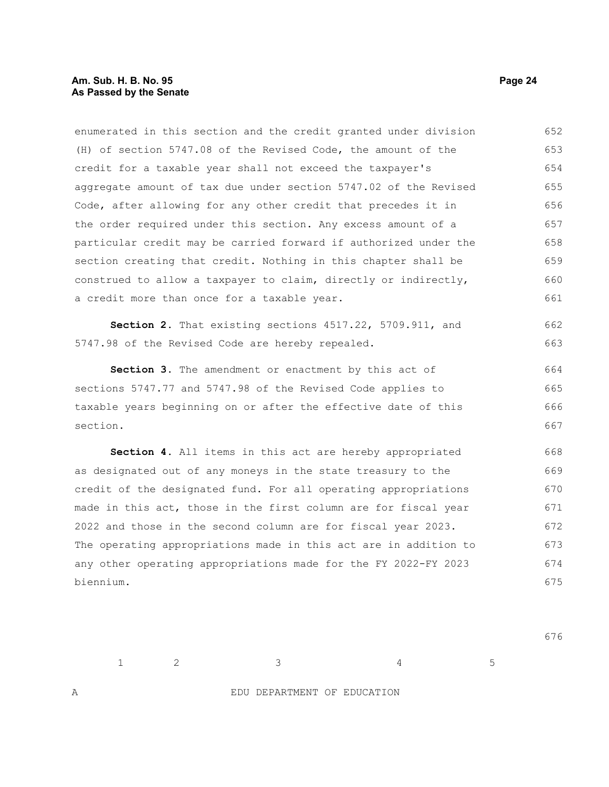enumerated in this section and the credit granted under division (H) of section 5747.08 of the Revised Code, the amount of the credit for a taxable year shall not exceed the taxpayer's aggregate amount of tax due under section 5747.02 of the Revised Code, after allowing for any other credit that precedes it in the order required under this section. Any excess amount of a particular credit may be carried forward if authorized under the section creating that credit. Nothing in this chapter shall be construed to allow a taxpayer to claim, directly or indirectly, a credit more than once for a taxable year. 652 653 654 655 656 657 658 659 660 661

**Section 2.** That existing sections 4517.22, 5709.911, and 5747.98 of the Revised Code are hereby repealed. 662 663

Section 3. The amendment or enactment by this act of sections 5747.77 and 5747.98 of the Revised Code applies to taxable years beginning on or after the effective date of this section. 664 665 666 667

**Section 4.** All items in this act are hereby appropriated as designated out of any moneys in the state treasury to the credit of the designated fund. For all operating appropriations made in this act, those in the first column are for fiscal year 2022 and those in the second column are for fiscal year 2023. The operating appropriations made in this act are in addition to any other operating appropriations made for the FY 2022-FY 2023 biennium. 668 669 670 671 672 673 674 675

 $1 \hspace{1.5cm} 2 \hspace{1.5cm} 3 \hspace{1.5cm} 4 \hspace{1.5cm} 5$ 

676

A EDU DEPARTMENT OF EDUCATION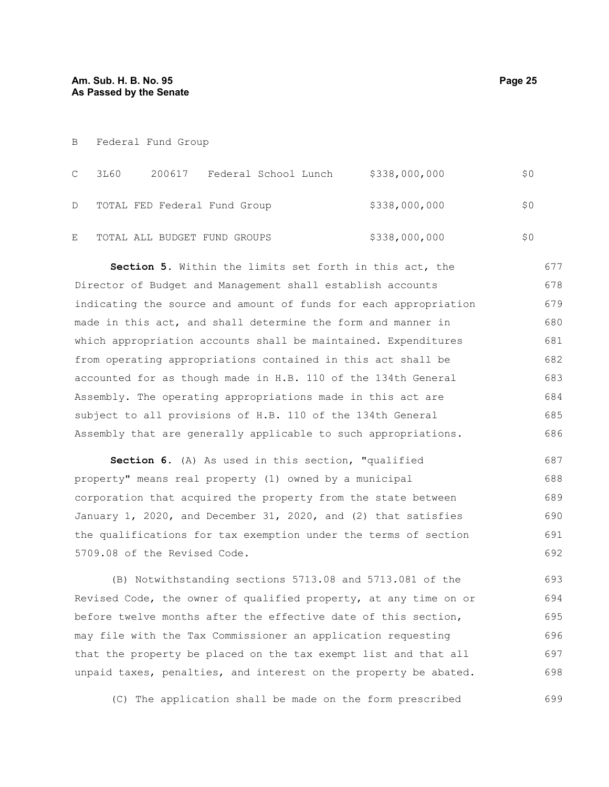B Federal Fund Group

| $\mathbb{C}$ | 3L60 | 200617 Federal School Lunch  | \$338,000,000 | \$0 |
|--------------|------|------------------------------|---------------|-----|
| D            |      | TOTAL FED Federal Fund Group | \$338,000,000 | \$0 |
| E            |      | TOTAL ALL BUDGET FUND GROUPS | \$338,000,000 |     |

**Section 5.** Within the limits set forth in this act, the Director of Budget and Management shall establish accounts indicating the source and amount of funds for each appropriation made in this act, and shall determine the form and manner in which appropriation accounts shall be maintained. Expenditures from operating appropriations contained in this act shall be accounted for as though made in H.B. 110 of the 134th General Assembly. The operating appropriations made in this act are subject to all provisions of H.B. 110 of the 134th General Assembly that are generally applicable to such appropriations. 677 678 679 680 681 682 683 684 685 686

**Section 6.** (A) As used in this section, "qualified property" means real property (1) owned by a municipal corporation that acquired the property from the state between January 1, 2020, and December 31, 2020, and (2) that satisfies the qualifications for tax exemption under the terms of section 5709.08 of the Revised Code. 687 688 689 690 691 692

(B) Notwithstanding sections 5713.08 and 5713.081 of the Revised Code, the owner of qualified property, at any time on or before twelve months after the effective date of this section, may file with the Tax Commissioner an application requesting that the property be placed on the tax exempt list and that all unpaid taxes, penalties, and interest on the property be abated. 693 694 695 696 697 698

(C) The application shall be made on the form prescribed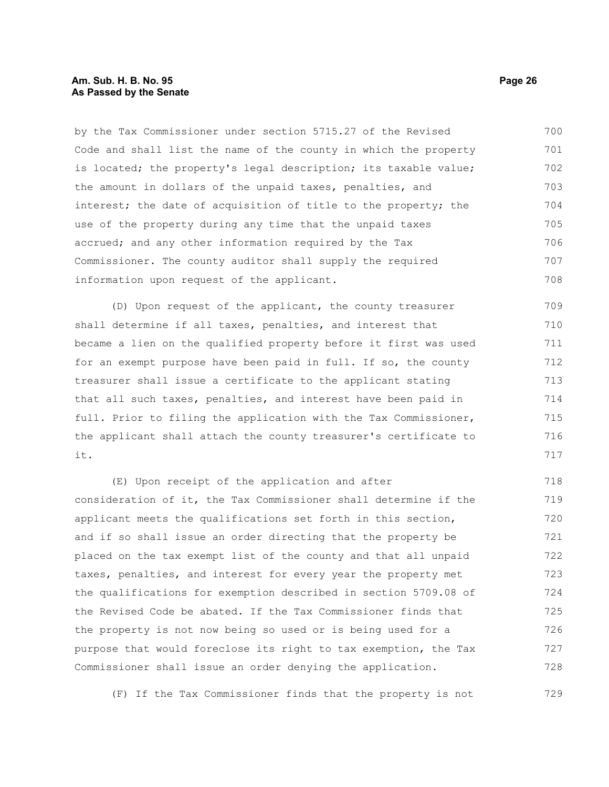## **Am. Sub. H. B. No. 95 Page 26 As Passed by the Senate**

by the Tax Commissioner under section 5715.27 of the Revised Code and shall list the name of the county in which the property is located; the property's legal description; its taxable value; the amount in dollars of the unpaid taxes, penalties, and interest; the date of acquisition of title to the property; the use of the property during any time that the unpaid taxes accrued; and any other information required by the Tax Commissioner. The county auditor shall supply the required information upon request of the applicant. 700 701 702 703 704 705 706 707 708

(D) Upon request of the applicant, the county treasurer shall determine if all taxes, penalties, and interest that became a lien on the qualified property before it first was used for an exempt purpose have been paid in full. If so, the county treasurer shall issue a certificate to the applicant stating that all such taxes, penalties, and interest have been paid in full. Prior to filing the application with the Tax Commissioner, the applicant shall attach the county treasurer's certificate to it. 709 710 711 712 713 714 715 716 717

(E) Upon receipt of the application and after consideration of it, the Tax Commissioner shall determine if the applicant meets the qualifications set forth in this section, and if so shall issue an order directing that the property be placed on the tax exempt list of the county and that all unpaid taxes, penalties, and interest for every year the property met the qualifications for exemption described in section 5709.08 of the Revised Code be abated. If the Tax Commissioner finds that the property is not now being so used or is being used for a purpose that would foreclose its right to tax exemption, the Tax Commissioner shall issue an order denying the application. 718 719 720 721 722 723 724 725 726 727 728

(F) If the Tax Commissioner finds that the property is not